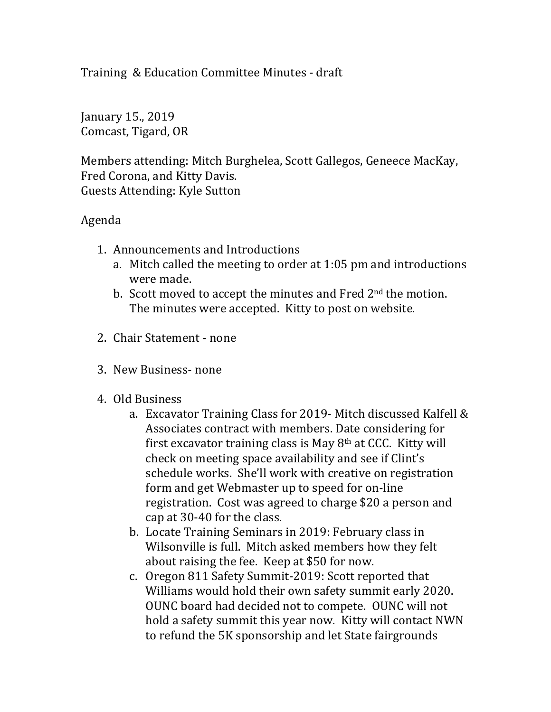Training & Education Committee Minutes - draft

January 15., 2019 Comcast, Tigard, OR

Members attending: Mitch Burghelea, Scott Gallegos, Geneece MacKay, Fred Corona, and Kitty Davis. Guests Attending: Kyle Sutton

## Agenda

- 1. Announcements and Introductions
	- a. Mitch called the meeting to order at 1:05 pm and introductions were made.
	- b. Scott moved to accept the minutes and Fred  $2<sup>nd</sup>$  the motion. The minutes were accepted. Kitty to post on website.
- 2. Chair Statement none
- 3. New Business- none
- 4. Old Business
	- a. Excavator Training Class for 2019- Mitch discussed Kalfell  $&$ Associates contract with members. Date considering for first excavator training class is May  $8<sup>th</sup>$  at CCC. Kitty will check on meeting space availability and see if Clint's schedule works. She'll work with creative on registration form and get Webmaster up to speed for on-line registration. Cost was agreed to charge \$20 a person and cap at 30-40 for the class.
	- b. Locate Training Seminars in 2019: February class in Wilsonville is full. Mitch asked members how they felt about raising the fee. Keep at \$50 for now.
	- c. Oregon 811 Safety Summit-2019: Scott reported that Williams would hold their own safety summit early 2020. OUNC board had decided not to compete. OUNC will not hold a safety summit this year now. Kitty will contact NWN to refund the 5K sponsorship and let State fairgrounds